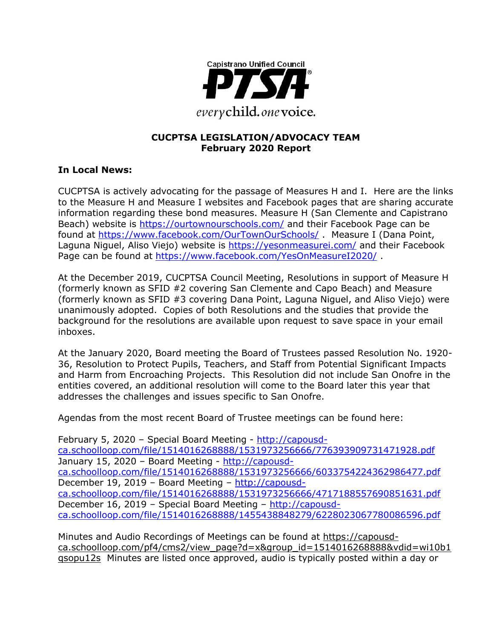

### **CUCPTSA LEGISLATION/ADVOCACY TEAM February 2020 Report**

## **In Local News:**

CUCPTSA is actively advocating for the passage of Measures H and I. Here are the links to the Measure H and Measure I websites and Facebook pages that are sharing accurate information regarding these bond measures. Measure H (San Clemente and Capistrano Beach) website is<https://ourtownourschools.com/> and their Facebook Page can be found at<https://www.facebook.com/OurTownOurSchools/> . Measure I (Dana Point, Laguna Niguel, Aliso Viejo) website is<https://yesonmeasurei.com/> and their Facebook Page can be found at<https://www.facebook.com/YesOnMeasureI2020/>

At the December 2019, CUCPTSA Council Meeting, Resolutions in support of Measure H (formerly known as SFID #2 covering San Clemente and Capo Beach) and Measure (formerly known as SFID #3 covering Dana Point, Laguna Niguel, and Aliso Viejo) were unanimously adopted. Copies of both Resolutions and the studies that provide the background for the resolutions are available upon request to save space in your email inboxes.

At the January 2020, Board meeting the Board of Trustees passed Resolution No. 1920- 36, Resolution to Protect Pupils, Teachers, and Staff from Potential Significant Impacts and Harm from Encroaching Projects. This Resolution did not include San Onofre in the entities covered, an additional resolution will come to the Board later this year that addresses the challenges and issues specific to San Onofre.

Agendas from the most recent Board of Trustee meetings can be found here:

February 5, 2020 – Special Board Meeting - [http://capousd](http://capousd-ca.schoolloop.com/file/1514016268888/1531973256666/776393909731471928.pdf)[ca.schoolloop.com/file/1514016268888/1531973256666/776393909731471928.pdf](http://capousd-ca.schoolloop.com/file/1514016268888/1531973256666/776393909731471928.pdf) January 15, 2020 – Board Meeting - [http://capousd](http://capousd-ca.schoolloop.com/file/1514016268888/1531973256666/6033754224362986477.pdf)[ca.schoolloop.com/file/1514016268888/1531973256666/6033754224362986477.pdf](http://capousd-ca.schoolloop.com/file/1514016268888/1531973256666/6033754224362986477.pdf) December 19, 2019 – Board Meeting – [http://capousd](http://capousd-ca.schoolloop.com/file/1514016268888/1531973256666/4717188557690851631.pdf)[ca.schoolloop.com/file/1514016268888/1531973256666/4717188557690851631.pdf](http://capousd-ca.schoolloop.com/file/1514016268888/1531973256666/4717188557690851631.pdf) December 16, 2019 – Special Board Meeting – [http://capousd](http://capousd-ca.schoolloop.com/file/1514016268888/1455438848279/6228023067780086596.pdf)[ca.schoolloop.com/file/1514016268888/1455438848279/6228023067780086596.pdf](http://capousd-ca.schoolloop.com/file/1514016268888/1455438848279/6228023067780086596.pdf)

Minutes and Audio Recordings of Meetings can be found at [https://capousd](https://capousd-ca.schoolloop.com/pf4/cms2/view_page?d=x&group_id=1514016268888&vdid=wi10b1qsopu12s)[ca.schoolloop.com/pf4/cms2/view\\_page?d=x&group\\_id=1514016268888&vdid=wi10b1](https://capousd-ca.schoolloop.com/pf4/cms2/view_page?d=x&group_id=1514016268888&vdid=wi10b1qsopu12s) [qsopu12s](https://capousd-ca.schoolloop.com/pf4/cms2/view_page?d=x&group_id=1514016268888&vdid=wi10b1qsopu12s) Minutes are listed once approved, audio is typically posted within a day or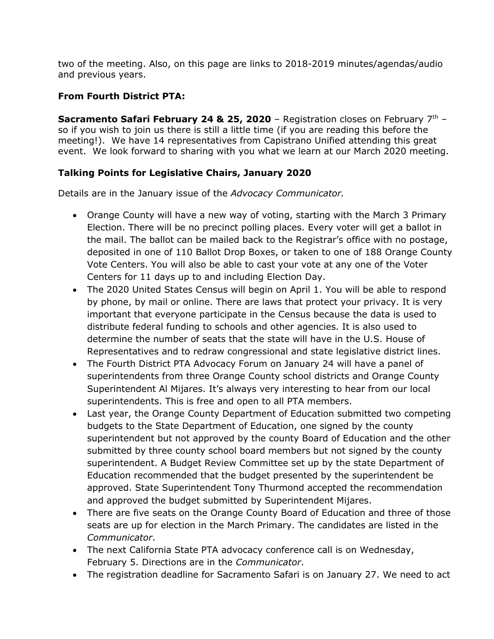two of the meeting. Also, on this page are links to 2018-2019 minutes/agendas/audio and previous years.

# **From Fourth District PTA:**

**Sacramento Safari February 24 & 25, 2020** – Registration closes on February 7th – so if you wish to join us there is still a little time (if you are reading this before the meeting!). We have 14 representatives from Capistrano Unified attending this great event. We look forward to sharing with you what we learn at our March 2020 meeting.

## **Talking Points for Legislative Chairs, January 2020**

Details are in the January issue of the *Advocacy Communicator.*

- Orange County will have a new way of voting, starting with the March 3 Primary Election. There will be no precinct polling places. Every voter will get a ballot in the mail. The ballot can be mailed back to the Registrar's office with no postage, deposited in one of 110 Ballot Drop Boxes, or taken to one of 188 Orange County Vote Centers. You will also be able to cast your vote at any one of the Voter Centers for 11 days up to and including Election Day.
- The 2020 United States Census will begin on April 1. You will be able to respond by phone, by mail or online. There are laws that protect your privacy. It is very important that everyone participate in the Census because the data is used to distribute federal funding to schools and other agencies. It is also used to determine the number of seats that the state will have in the U.S. House of Representatives and to redraw congressional and state legislative district lines.
- The Fourth District PTA Advocacy Forum on January 24 will have a panel of superintendents from three Orange County school districts and Orange County Superintendent Al Mijares. It's always very interesting to hear from our local superintendents. This is free and open to all PTA members.
- Last year, the Orange County Department of Education submitted two competing budgets to the State Department of Education, one signed by the county superintendent but not approved by the county Board of Education and the other submitted by three county school board members but not signed by the county superintendent. A Budget Review Committee set up by the state Department of Education recommended that the budget presented by the superintendent be approved. State Superintendent Tony Thurmond accepted the recommendation and approved the budget submitted by Superintendent Mijares.
- There are five seats on the Orange County Board of Education and three of those seats are up for election in the March Primary. The candidates are listed in the *Communicator*.
- The next California State PTA advocacy conference call is on Wednesday, February 5. Directions are in the *Communicator*.
- The registration deadline for Sacramento Safari is on January 27. We need to act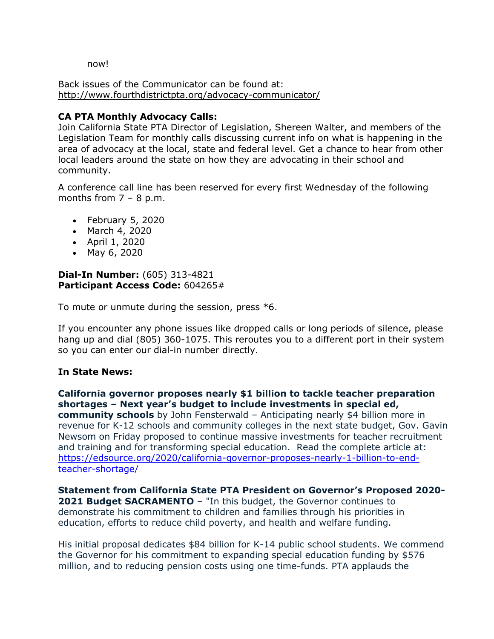now!

Back issues of the Communicator can be found at: <http://www.fourthdistrictpta.org/advocacy-communicator/>

## **CA PTA Monthly Advocacy Calls:**

Join California State PTA Director of Legislation, Shereen Walter, and members of the Legislation Team for monthly calls discussing current info on what is happening in the area of advocacy at the local, state and federal level. Get a chance to hear from other local leaders around the state on how they are advocating in their school and community.

A conference call line has been reserved for every first Wednesday of the following months from  $7 - 8$  p.m.

- February 5, 2020
- March 4, 2020
- April 1, 2020
- May 6, 2020

### **Dial-In Number:** (605) 313-4821 **Participant Access Code:** 604265#

To mute or unmute during the session, press \*6.

If you encounter any phone issues like dropped calls or long periods of silence, please hang up and dial (805) 360-1075. This reroutes you to a different port in their system so you can enter our dial-in number directly.

## **In State News:**

**California governor proposes nearly \$1 billion to tackle teacher preparation shortages – Next year's budget to include investments in special ed, community schools** by John Fensterwald – Anticipating nearly \$4 billion more in revenue for K-12 schools and community colleges in the next state budget, Gov. Gavin Newsom on Friday proposed to continue massive investments for teacher recruitment and training and for transforming special education. Read the complete article at: [https://edsource.org/2020/california-governor-proposes-nearly-1-billion-to-end](https://edsource.org/2020/california-governor-proposes-nearly-1-billion-to-end-teacher-shortage/)[teacher-shortage/](https://edsource.org/2020/california-governor-proposes-nearly-1-billion-to-end-teacher-shortage/)

**Statement from California State PTA President on Governor's Proposed 2020- 2021 Budget SACRAMENTO** – "In this budget, the Governor continues to demonstrate his commitment to children and families through his priorities in education, efforts to reduce child poverty, and health and welfare funding.

His initial proposal dedicates \$84 billion for K-14 public school students. We commend the Governor for his commitment to expanding special education funding by \$576 million, and to reducing pension costs using one time-funds. PTA applauds the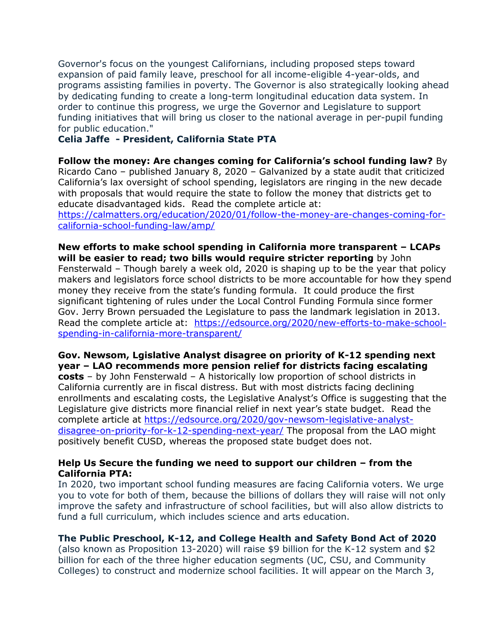Governor's focus on the youngest Californians, including proposed steps toward expansion of paid family leave, preschool for all income-eligible 4-year-olds, and programs assisting families in poverty. The Governor is also strategically looking ahead by dedicating funding to create a long-term longitudinal education data system. In order to continue this progress, we urge the Governor and Legislature to support funding initiatives that will bring us closer to the national average in per-pupil funding for public education."

### **Celia Jaffe - President, California State PTA**

**Follow the money: Are changes coming for California's school funding law?** By Ricardo Cano – published January 8, 2020 – Galvanized by a state audit that criticized California's lax oversight of school spending, legislators are ringing in the new decade with proposals that would require the state to follow the money that districts get to educate disadvantaged kids. Read the complete article at:

[https://calmatters.org/education/2020/01/follow-the-money-are-changes-coming-for](https://calmatters.org/education/2020/01/follow-the-money-are-changes-coming-for-california-school-funding-law/amp/)[california-school-funding-law/amp/](https://calmatters.org/education/2020/01/follow-the-money-are-changes-coming-for-california-school-funding-law/amp/)

**New efforts to make school spending in California more transparent – LCAPs will be easier to read; two bills would require stricter reporting** by John Fensterwald – Though barely a week old, 2020 is shaping up to be the year that policy makers and legislators force school districts to be more accountable for how they spend money they receive from the state's funding formula. It could produce the first significant tightening of rules under the Local Control Funding Formula since former Gov. Jerry Brown persuaded the Legislature to pass the landmark legislation in 2013. Read the complete article at: [https://edsource.org/2020/new-efforts-to-make-school](https://edsource.org/2020/new-efforts-to-make-school-spending-in-california-more-transparent/)[spending-in-california-more-transparent/](https://edsource.org/2020/new-efforts-to-make-school-spending-in-california-more-transparent/)

**Gov. Newsom, Lgislative Analyst disagree on priority of K-12 spending next year – LAO recommends more pension relief for districts facing escalating costs** – by John Fensterwald – A historically low proportion of school districts in California currently are in fiscal distress. But with most districts facing declining enrollments and escalating costs, the Legislative Analyst's Office is suggesting that the Legislature give districts more financial relief in next year's state budget. Read the complete article at [https://edsource.org/2020/gov-newsom-legislative-analyst](https://edsource.org/2020/gov-newsom-legislative-analyst-disagree-on-priority-for-k-12-spending-next-year/)[disagree-on-priority-for-k-12-spending-next-year/](https://edsource.org/2020/gov-newsom-legislative-analyst-disagree-on-priority-for-k-12-spending-next-year/) The proposal from the LAO might positively benefit CUSD, whereas the proposed state budget does not.

#### **Help Us Secure the funding we need to support our children – from the California PTA:**

In 2020, two important school funding measures are facing California voters. We urge you to vote for both of them, because the billions of dollars they will raise will not only improve the safety and infrastructure of school facilities, but will also allow districts to fund a full curriculum, which includes science and arts education.

## **The Public Preschool, K-12, and College Health and Safety Bond Act of 2020**

(also known as Proposition 13-2020) will raise \$9 billion for the K-12 system and \$2 billion for each of the three higher education segments (UC, CSU, and Community Colleges) to construct and modernize school facilities. It will appear on the March 3,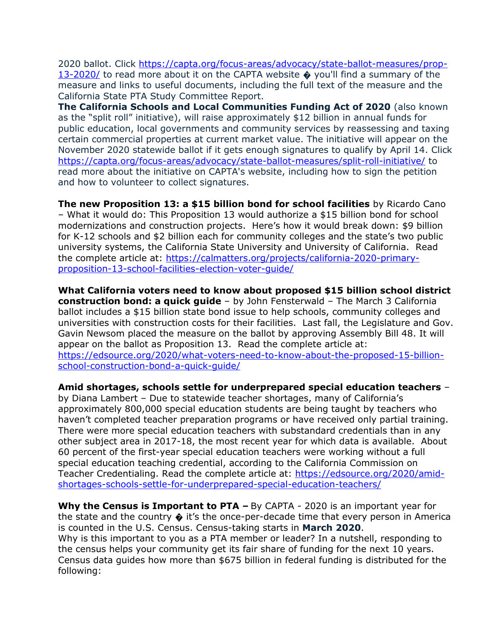2020 ballot. Click [https://capta.org/focus-areas/advocacy/state-ballot-measures/prop-](https://capta.org/focus-areas/advocacy/state-ballot-measures/prop-13-2020/)[13-2020/](https://capta.org/focus-areas/advocacy/state-ballot-measures/prop-13-2020/) to read more about it on the CAPTA website  $\bullet$  you'll find a summary of the measure and links to useful documents, including the full text of the measure and the California State PTA Study Committee Report.

**The California Schools and Local Communities Funding Act of 2020** (also known as the "split roll" initiative), will raise approximately \$12 billion in annual funds for public education, local governments and community services by reassessing and taxing certain commercial properties at current market value. The initiative will appear on the November 2020 statewide ballot if it gets enough signatures to qualify by April 14. Click <https://capta.org/focus-areas/advocacy/state-ballot-measures/split-roll-initiative/> to read more about the initiative on CAPTA's website, including how to sign the petition and how to volunteer to collect signatures.

**The new Proposition 13: a \$15 billion bond for school facilities** by Ricardo Cano – What it would do: This Proposition 13 would authorize a \$15 billion bond for school modernizations and construction projects. Here's how it would break down: \$9 billion for K-12 schools and \$2 billion each for community colleges and the state's two public university systems, the California State University and University of California. Read the complete article at: [https://calmatters.org/projects/california-2020-primary](https://calmatters.org/projects/california-2020-primary-proposition-13-school-facilities-election-voter-guide/)[proposition-13-school-facilities-election-voter-guide/](https://calmatters.org/projects/california-2020-primary-proposition-13-school-facilities-election-voter-guide/)

**What California voters need to know about proposed \$15 billion school district construction bond: a quick guide** – by John Fensterwald – The March 3 California ballot includes a \$15 billion state bond issue to help schools, community colleges and universities with construction costs for their facilities. Last fall, the Legislature and Gov. Gavin Newsom placed the measure on the ballot by approving Assembly Bill 48. It will appear on the ballot as Proposition 13. Read the complete article at: [https://edsource.org/2020/what-voters-need-to-know-about-the-proposed-15-billion](https://edsource.org/2020/what-voters-need-to-know-about-the-proposed-15-billion-school-construction-bond-a-quick-guide/)[school-construction-bond-a-quick-guide/](https://edsource.org/2020/what-voters-need-to-know-about-the-proposed-15-billion-school-construction-bond-a-quick-guide/)

**Amid shortages, schools settle for underprepared special education teachers** – by Diana Lambert – Due to statewide teacher shortages, many of California's approximately 800,000 special education students are being taught by teachers who haven't completed teacher preparation programs or have received only partial training. There were more special education teachers with substandard credentials than in any other subject area in 2017-18, the most recent year for which data is available. About 60 percent of the first-year special education teachers were working without a full special education teaching credential, according to the California Commission on Teacher Credentialing. Read the complete article at: [https://edsource.org/2020/amid](https://edsource.org/2020/amid-shortages-schools-settle-for-underprepared-special-education-teachers/)[shortages-schools-settle-for-underprepared-special-education-teachers/](https://edsource.org/2020/amid-shortages-schools-settle-for-underprepared-special-education-teachers/)

**Why the Census is Important to PTA –** By CAPTA - 2020 is an important year for the state and the country � it's the once-per-decade time that every person in America is counted in the U.S. Census. Census-taking starts in **March 2020**. Why is this important to you as a PTA member or leader? In a nutshell, responding to the census helps your community get its fair share of funding for the next 10 years. Census data guides how more than \$675 billion in federal funding is distributed for the following: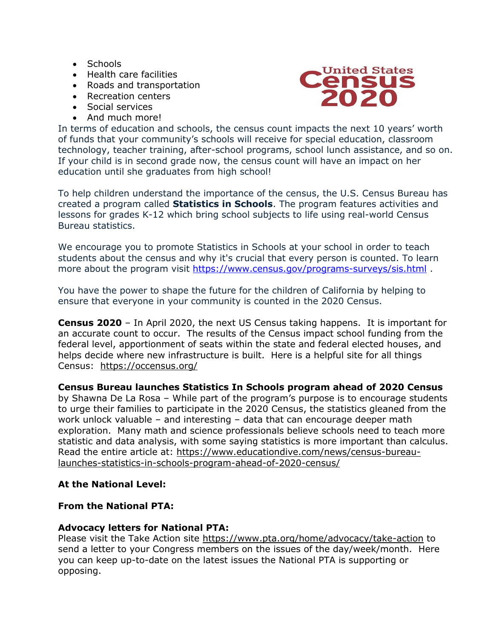- Schools
- Health care facilities
- Roads and transportation
- Recreation centers
- Social services
- And much more!



In terms of education and schools, the census count impacts the next 10 years' worth of funds that your community's schools will receive for special education, classroom technology, teacher training, after-school programs, school lunch assistance, and so on. If your child is in second grade now, the census count will have an impact on her education until she graduates from high school!

To help children understand the importance of the census, the U.S. Census Bureau has created a program called **Statistics in Schools**. The program features activities and lessons for grades K-12 which bring school subjects to life using real-world Census Bureau statistics.

We encourage you to promote Statistics in Schools at your school in order to teach students about the census and why it's crucial that every person is counted. To learn more about the program visit<https://www.census.gov/programs-surveys/sis.html>.

You have the power to shape the future for the children of California by helping to ensure that everyone in your community is counted in the 2020 Census.

**Census 2020** – In April 2020, the next US Census taking happens. It is important for an accurate count to occur. The results of the Census impact school funding from the federal level, apportionment of seats within the state and federal elected houses, and helps decide where new infrastructure is built. Here is a helpful site for all things Census: <https://occensus.org/>

**Census Bureau launches Statistics In Schools program ahead of 2020 Census**  by Shawna De La Rosa – While part of the program's purpose is to encourage students to urge their families to participate in the 2020 Census, the statistics gleaned from the work unlock valuable – and interesting – data that can encourage deeper math exploration. Many math and science professionals believe schools need to teach more statistic and data analysis, with some saying statistics is more important than calculus. Read the entire article at: [https://www.educationdive.com/news/census-bureau](https://www.educationdive.com/news/census-bureau-launches-statistics-in-schools-program-ahead-of-2020-census/)[launches-statistics-in-schools-program-ahead-of-2020-census/](https://www.educationdive.com/news/census-bureau-launches-statistics-in-schools-program-ahead-of-2020-census/)

## **At the National Level:**

## **From the National PTA:**

## **Advocacy letters for National PTA:**

Please visit the Take Action site<https://www.pta.org/home/advocacy/take-action> to send a letter to your Congress members on the issues of the day/week/month. Here you can keep up-to-date on the latest issues the National PTA is supporting or opposing.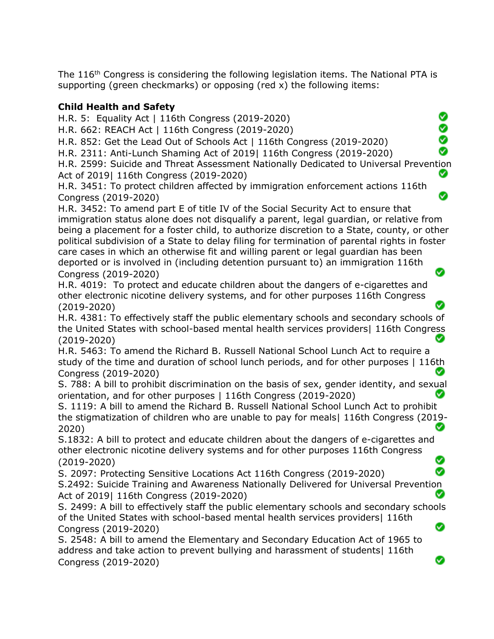The 116<sup>th</sup> Congress is considering the following legislation items. The National PTA is supporting (green checkmarks) or opposing (red x) the following items:

## **Child Health and Safety**

H.R. 5: Equality Act | 116th Congress (2019-2020)

H.R. 662: REACH Act | 116th Congress (2019-2020)

H.R. 852: Get the Lead Out of Schools Act | 116th Congress (2019-2020)

H.R. 2311: Anti-Lunch Shaming Act of 2019| 116th Congress (2019-2020)

H.R. 2599: Suicide and Threat Assessment Nationally Dedicated to Universal Prevention Act of 2019| 116th Congress (2019-2020) Ø

္တ

 $\frac{8}{9}$ Ø

Ø

◙

H.R. 3451: To protect children affected by immigration enforcement actions 116th Congress (2019-2020)

H.R. 3452: To amend part E of title IV of the Social Security Act to ensure that immigration status alone does not disqualify a parent, legal guardian, or relative from being a placement for a foster child, to authorize discretion to a State, county, or other political subdivision of a State to delay filing for termination of parental rights in foster care cases in which an otherwise fit and willing parent or legal guardian has been deported or is involved in (including detention pursuant to) an immigration 116th Ø Congress (2019-2020)

H.R. 4019: To protect and educate children about the dangers of e-cigarettes and other electronic nicotine delivery systems, and for other purposes 116th Congress (2019-2020)

H.R. 4381: To effectively staff the public elementary schools and secondary schools of the United States with school-based mental health services providers| 116th Congress (2019-2020)

H.R. 5463: To amend the Richard B. Russell National School Lunch Act to require a study of the time and duration of school lunch periods, and for other purposes | 116th Congress (2019-2020)

S. 788: A bill to prohibit discrimination on the basis of sex, gender identity, and sexual orientation, and for other purposes | 116th Congress (2019-2020) Ø

S. 1119: A bill to amend the Richard B. Russell National School Lunch Act to prohibit the stigmatization of children who are unable to pay for meals| 116th Congress (2019- Ø 2020)

S.1832: A bill to protect and educate children about the dangers of e-cigarettes and other electronic nicotine delivery systems and for other purposes 116th Congress Ø (2019-2020)

Ø S. 2097: Protecting Sensitive Locations Act 116th Congress (2019-2020) S.2492: Suicide Training and Awareness Nationally Delivered for Universal Prevention Act of 2019| 116th Congress (2019-2020) Ø

S. 2499: A bill to effectively staff the public elementary schools and secondary schools of the United States with school-based mental health services providers| 116th Ø Congress (2019-2020)

S. 2548: A bill to amend the Elementary and Secondary Education Act of 1965 to address and take action to prevent bullying and harassment of students| 116th Congress (2019-2020)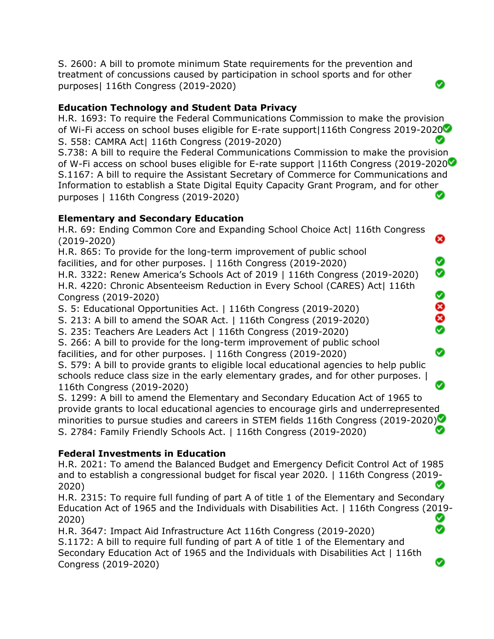S. 2600: A bill to promote minimum State requirements for the prevention and treatment of concussions caused by participation in school sports and for other purposes| 116th Congress (2019-2020)

# **Education Technology and Student Data Privacy**

H.R. 1693: To require the Federal Communications Commission to make the provision of Wi-Fi access on school buses eligible for E-rate support|116th Congress 2019-2020 S. 558: CAMRA Act| 116th Congress (2019-2020) Ø

Ø

❸

Ø Ø

Ø 8<br>8

Ø

◙

Ø

S.738: A bill to require the Federal Communications Commission to make the provision of W-Fi access on school buses eligible for E-rate support |116th Congress (2019-2020 S.1167: A bill to require the Assistant Secretary of Commerce for Communications and Information to establish a State Digital Equity Capacity Grant Program, and for other Ø purposes | 116th Congress (2019-2020)

## **Elementary and Secondary Education**

H.R. 69: Ending Common Core and Expanding School Choice Act| 116th Congress (2019-2020)

H.R. 865: To provide for the long-term improvement of public school facilities, and for other purposes. | 116th Congress (2019-2020)

H.R. 3322: Renew America's Schools Act of 2019 | 116th Congress (2019-2020) H.R. 4220: Chronic Absenteeism Reduction in Every School (CARES) Act| 116th Congress (2019-2020)

S. 5: Educational Opportunities Act. | 116th Congress (2019-2020)

S. 213: A bill to amend the SOAR Act. | 116th Congress (2019-2020)

S. 235: Teachers Are Leaders Act | 116th Congress (2019-2020)

S. 266: A bill to provide for the long-term improvement of public school

facilities, and for other purposes. | 116th Congress (2019-2020)

S. 579: A bill to provide grants to eligible local educational agencies to help public schools reduce class size in the early elementary grades, and for other purposes. | 116th Congress (2019-2020)

S. 1299: A bill to amend the Elementary and Secondary Education Act of 1965 to provide grants to local educational agencies to encourage girls and underrepresented minorities to pursue studies and careers in STEM fields 116th Congress (2019-2020) Ø S. 2784: Family Friendly Schools Act. | 116th Congress (2019-2020)

# **Federal Investments in Education**

H.R. 2021: To amend the Balanced Budget and Emergency Deficit Control Act of 1985 and to establish a congressional budget for fiscal year 2020. | 116th Congress (2019- ◙ 2020)

H.R. 2315: To require full funding of part A of title 1 of the Elementary and Secondary Education Act of 1965 and the Individuals with Disabilities Act. | 116th Congress (2019- Ø 2020) Ø

H.R. 3647: Impact Aid Infrastructure Act 116th Congress (2019-2020) S.1172: A bill to require full funding of part A of title 1 of the Elementary and Secondary Education Act of 1965 and the Individuals with Disabilities Act | 116th Congress (2019-2020)